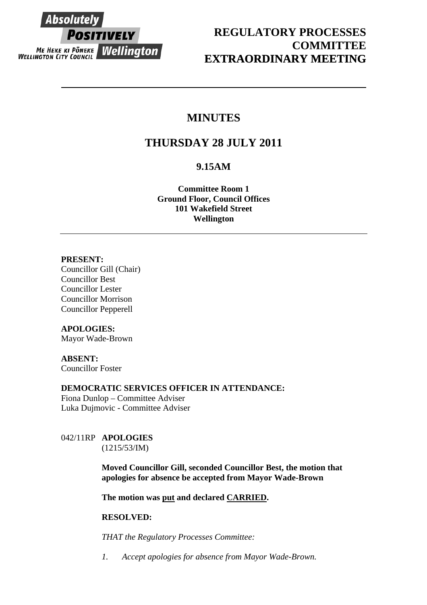

## **REGULATORY PROCESSES COMMITTEE EXTRAORDINARY MEETING**

## **MINUTES**

# **THURSDAY 28 JULY 2011**

### **9.15AM**

**Committee Room 1 Ground Floor, Council Offices 101 Wakefield Street Wellington** 

#### **PRESENT:**

Councillor Gill (Chair) Councillor Best Councillor Lester Councillor Morrison Councillor Pepperell

#### **APOLOGIES:**

Mayor Wade-Brown

### **ABSENT:**

Councillor Foster

#### **DEMOCRATIC SERVICES OFFICER IN ATTENDANCE:**

Fiona Dunlop – Committee Adviser Luka Dujmovic - Committee Adviser

#### 042/11RP **APOLOGIES**  (1215/53/IM)

**Moved Councillor Gill, seconded Councillor Best, the motion that apologies for absence be accepted from Mayor Wade-Brown** 

**The motion was put and declared CARRIED.** 

#### **RESOLVED:**

*THAT the Regulatory Processes Committee:* 

*1. Accept apologies for absence from Mayor Wade-Brown.*